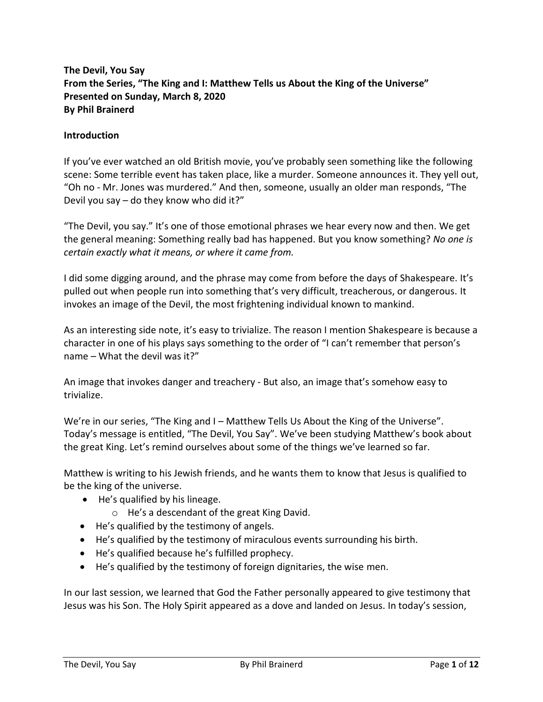# **The Devil, You Say From the Series, "The King and I: Matthew Tells us About the King of the Universe" Presented on Sunday, March 8, 2020 By Phil Brainerd**

#### **Introduction**

If you've ever watched an old British movie, you've probably seen something like the following scene: Some terrible event has taken place, like a murder. Someone announces it. They yell out, "Oh no - Mr. Jones was murdered." And then, someone, usually an older man responds, "The Devil you say – do they know who did it?"

"The Devil, you say." It's one of those emotional phrases we hear every now and then. We get the general meaning: Something really bad has happened. But you know something? *No one is certain exactly what it means, or where it came from.*

I did some digging around, and the phrase may come from before the days of Shakespeare. It's pulled out when people run into something that's very difficult, treacherous, or dangerous. It invokes an image of the Devil, the most frightening individual known to mankind.

As an interesting side note, it's easy to trivialize. The reason I mention Shakespeare is because a character in one of his plays says something to the order of "I can't remember that person's name – What the devil was it?"

An image that invokes danger and treachery - But also, an image that's somehow easy to trivialize.

We're in our series, "The King and I – Matthew Tells Us About the King of the Universe". Today's message is entitled, "The Devil, You Say". We've been studying Matthew's book about the great King. Let's remind ourselves about some of the things we've learned so far.

Matthew is writing to his Jewish friends, and he wants them to know that Jesus is qualified to be the king of the universe.

- He's qualified by his lineage.
	- o He's a descendant of the great King David.
- He's qualified by the testimony of angels.
- He's qualified by the testimony of miraculous events surrounding his birth.
- He's qualified because he's fulfilled prophecy.
- He's qualified by the testimony of foreign dignitaries, the wise men.

In our last session, we learned that God the Father personally appeared to give testimony that Jesus was his Son. The Holy Spirit appeared as a dove and landed on Jesus. In today's session,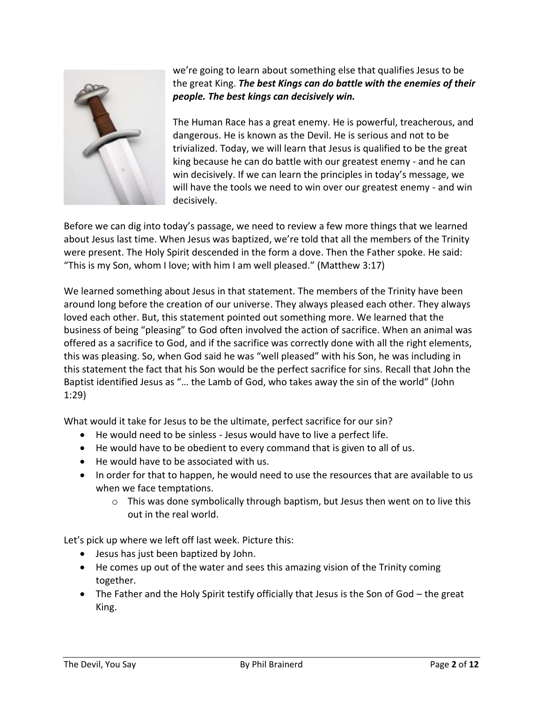

we're going to learn about something else that qualifies Jesus to be the great King. *The best Kings can do battle with the enemies of their people. The best kings can decisively win.*

The Human Race has a great enemy. He is powerful, treacherous, and dangerous. He is known as the Devil. He is serious and not to be trivialized. Today, we will learn that Jesus is qualified to be the great king because he can do battle with our greatest enemy - and he can win decisively. If we can learn the principles in today's message, we will have the tools we need to win over our greatest enemy - and win decisively.

Before we can dig into today's passage, we need to review a few more things that we learned about Jesus last time. When Jesus was baptized, we're told that all the members of the Trinity were present. The Holy Spirit descended in the form a dove. Then the Father spoke. He said: "This is my Son, whom I love; with him I am well pleased." (Matthew 3:17)

We learned something about Jesus in that statement. The members of the Trinity have been around long before the creation of our universe. They always pleased each other. They always loved each other. But, this statement pointed out something more. We learned that the business of being "pleasing" to God often involved the action of sacrifice. When an animal was offered as a sacrifice to God, and if the sacrifice was correctly done with all the right elements, this was pleasing. So, when God said he was "well pleased" with his Son, he was including in this statement the fact that his Son would be the perfect sacrifice for sins. Recall that John the Baptist identified Jesus as "… the Lamb of God, who takes away the sin of the world" (John 1:29)

What would it take for Jesus to be the ultimate, perfect sacrifice for our sin?

- He would need to be sinless Jesus would have to live a perfect life.
- He would have to be obedient to every command that is given to all of us.
- He would have to be associated with us.
- In order for that to happen, he would need to use the resources that are available to us when we face temptations.
	- $\circ$  This was done symbolically through baptism, but Jesus then went on to live this out in the real world.

Let's pick up where we left off last week. Picture this:

- Jesus has just been baptized by John.
- He comes up out of the water and sees this amazing vision of the Trinity coming together.
- The Father and the Holy Spirit testify officially that Jesus is the Son of God the great King.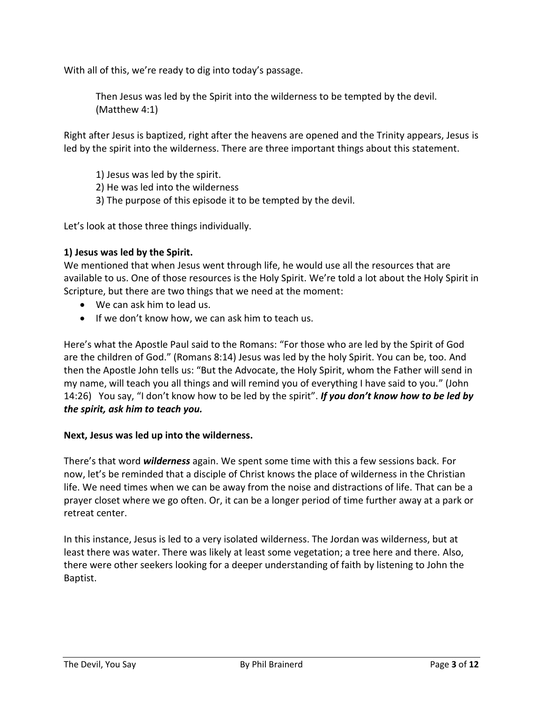With all of this, we're ready to dig into today's passage.

Then Jesus was led by the Spirit into the wilderness to be tempted by the devil. (Matthew 4:1)

Right after Jesus is baptized, right after the heavens are opened and the Trinity appears, Jesus is led by the spirit into the wilderness. There are three important things about this statement.

1) Jesus was led by the spirit.

2) He was led into the wilderness

3) The purpose of this episode it to be tempted by the devil.

Let's look at those three things individually.

#### **1) Jesus was led by the Spirit.**

We mentioned that when Jesus went through life, he would use all the resources that are available to us. One of those resources is the Holy Spirit. We're told a lot about the Holy Spirit in Scripture, but there are two things that we need at the moment:

- We can ask him to lead us.
- If we don't know how, we can ask him to teach us.

Here's what the Apostle Paul said to the Romans: "For those who are led by the Spirit of God are the children of God." (Romans 8:14) Jesus was led by the holy Spirit. You can be, too. And then the Apostle John tells us: "But the Advocate, the Holy Spirit, whom the Father will send in my name, will teach you all things and will remind you of everything I have said to you." (John 14:26) You say, "I don't know how to be led by the spirit". *If you don't know how to be led by the spirit, ask him to teach you.*

#### **Next, Jesus was led up into the wilderness.**

There's that word *wilderness* again. We spent some time with this a few sessions back. For now, let's be reminded that a disciple of Christ knows the place of wilderness in the Christian life. We need times when we can be away from the noise and distractions of life. That can be a prayer closet where we go often. Or, it can be a longer period of time further away at a park or retreat center.

In this instance, Jesus is led to a very isolated wilderness. The Jordan was wilderness, but at least there was water. There was likely at least some vegetation; a tree here and there. Also, there were other seekers looking for a deeper understanding of faith by listening to John the Baptist.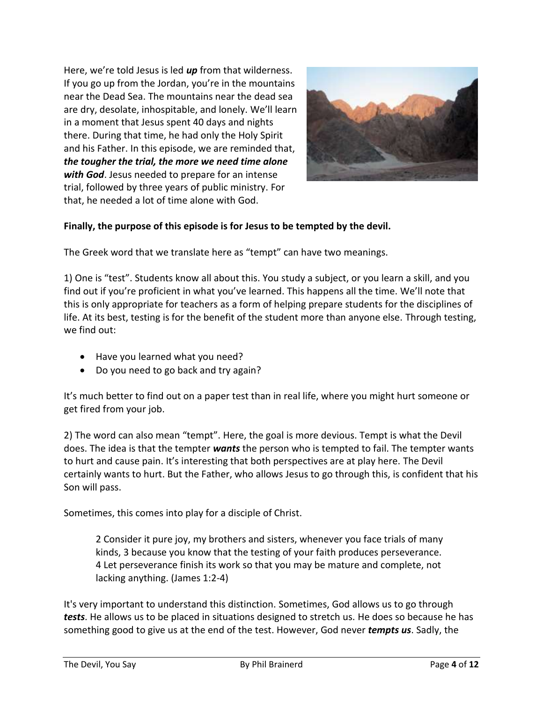Here, we're told Jesus is led *up* from that wilderness. If you go up from the Jordan, you're in the mountains near the Dead Sea. The mountains near the dead sea are dry, desolate, inhospitable, and lonely. We'll learn in a moment that Jesus spent 40 days and nights there. During that time, he had only the Holy Spirit and his Father. In this episode, we are reminded that, *the tougher the trial, the more we need time alone with God*. Jesus needed to prepare for an intense trial, followed by three years of public ministry. For that, he needed a lot of time alone with God.



# **Finally, the purpose of this episode is for Jesus to be tempted by the devil.**

The Greek word that we translate here as "tempt" can have two meanings.

1) One is "test". Students know all about this. You study a subject, or you learn a skill, and you find out if you're proficient in what you've learned. This happens all the time. We'll note that this is only appropriate for teachers as a form of helping prepare students for the disciplines of life. At its best, testing is for the benefit of the student more than anyone else. Through testing, we find out:

- Have you learned what you need?
- Do you need to go back and try again?

It's much better to find out on a paper test than in real life, where you might hurt someone or get fired from your job.

2) The word can also mean "tempt". Here, the goal is more devious. Tempt is what the Devil does. The idea is that the tempter *wants* the person who is tempted to fail. The tempter wants to hurt and cause pain. It's interesting that both perspectives are at play here. The Devil certainly wants to hurt. But the Father, who allows Jesus to go through this, is confident that his Son will pass.

Sometimes, this comes into play for a disciple of Christ.

2 Consider it pure joy, my brothers and sisters, whenever you face trials of many kinds, 3 because you know that the testing of your faith produces perseverance. 4 Let perseverance finish its work so that you may be mature and complete, not lacking anything. (James 1:2-4)

It's very important to understand this distinction. Sometimes, God allows us to go through *tests*. He allows us to be placed in situations designed to stretch us. He does so because he has something good to give us at the end of the test. However, God never *tempts us*. Sadly, the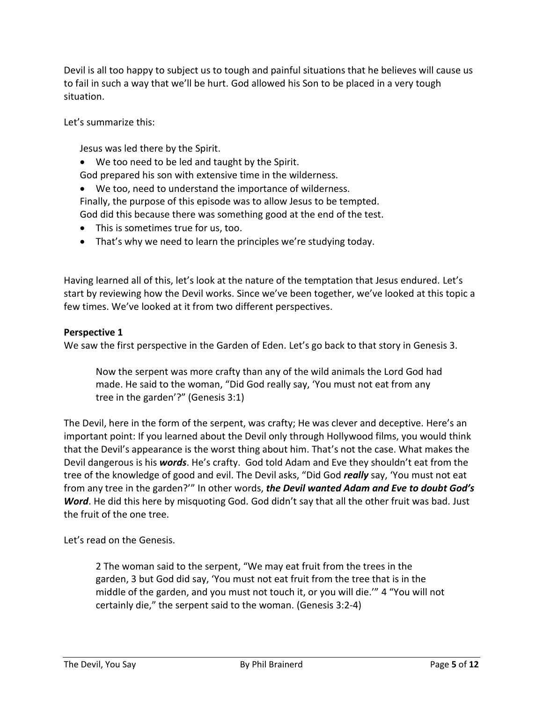Devil is all too happy to subject us to tough and painful situations that he believes will cause us to fail in such a way that we'll be hurt. God allowed his Son to be placed in a very tough situation.

Let's summarize this:

Jesus was led there by the Spirit.

• We too need to be led and taught by the Spirit.

God prepared his son with extensive time in the wilderness.

- We too, need to understand the importance of wilderness.
- Finally, the purpose of this episode was to allow Jesus to be tempted.

God did this because there was something good at the end of the test.

- This is sometimes true for us, too.
- That's why we need to learn the principles we're studying today.

Having learned all of this, let's look at the nature of the temptation that Jesus endured. Let's start by reviewing how the Devil works. Since we've been together, we've looked at this topic a few times. We've looked at it from two different perspectives.

#### **Perspective 1**

We saw the first perspective in the Garden of Eden. Let's go back to that story in Genesis 3.

Now the serpent was more crafty than any of the wild animals the Lord God had made. He said to the woman, "Did God really say, 'You must not eat from any tree in the garden'?" (Genesis 3:1)

The Devil, here in the form of the serpent, was crafty; He was clever and deceptive. Here's an important point: If you learned about the Devil only through Hollywood films, you would think that the Devil's appearance is the worst thing about him. That's not the case. What makes the Devil dangerous is his *words*. He's crafty. God told Adam and Eve they shouldn't eat from the tree of the knowledge of good and evil. The Devil asks, "Did God *really* say, 'You must not eat from any tree in the garden?'" In other words, *the Devil wanted Adam and Eve to doubt God's Word*. He did this here by misquoting God. God didn't say that all the other fruit was bad. Just the fruit of the one tree.

Let's read on the Genesis.

2 The woman said to the serpent, "We may eat fruit from the trees in the garden, 3 but God did say, 'You must not eat fruit from the tree that is in the middle of the garden, and you must not touch it, or you will die.'" 4 "You will not certainly die," the serpent said to the woman. (Genesis 3:2-4)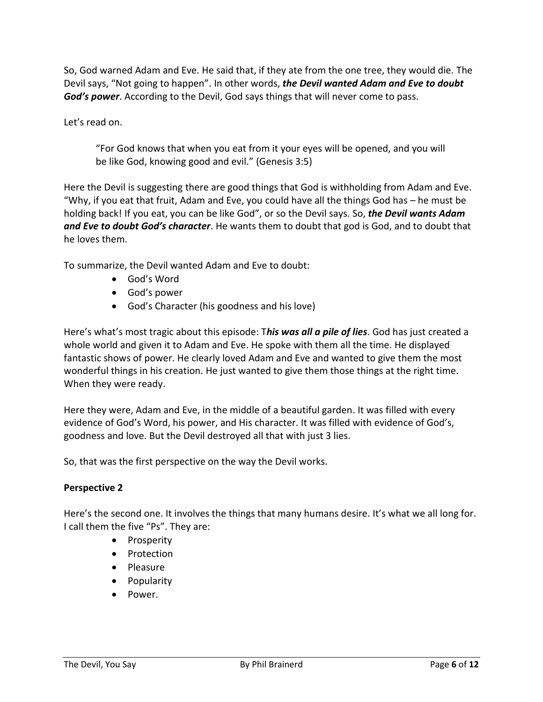So, God warned Adam and Eve. He said that, if they ate from the one tree, they would die. The Devil says, "Not going to happen". In other words, *the Devil wanted Adam and Eve to doubt God's power*. According to the Devil, God says things that will never come to pass.

Let's read on.

"For God knows that when you eat from it your eyes will be opened, and you will be like God, knowing good and evil." (Genesis 3:5)

Here the Devil is suggesting there are good things that God is withholding from Adam and Eve. "Why, if you eat that fruit, Adam and Eve, you could have all the things God has – he must be holding back! If you eat, you can be like God", or so the Devil says. So, *the Devil wants Adam and Eve to doubt God's character*. He wants them to doubt that god is God, and to doubt that he loves them.

To summarize, the Devil wanted Adam and Eve to doubt:

- God's Word
- God's power
- God's Character (his goodness and his love)

Here's what's most tragic about this episode: T*his was all a pile of lies*. God has just created a whole world and given it to Adam and Eve. He spoke with them all the time. He displayed fantastic shows of power. He clearly loved Adam and Eve and wanted to give them the most wonderful things in his creation. He just wanted to give them those things at the right time. When they were ready.

Here they were, Adam and Eve, in the middle of a beautiful garden. It was filled with every evidence of God's Word, his power, and His character. It was filled with evidence of God's, goodness and love. But the Devil destroyed all that with just 3 lies.

So, that was the first perspective on the way the Devil works.

### **Perspective 2**

Here's the second one. It involves the things that many humans desire. It's what we all long for. I call them the five "Ps". They are:

- Prosperity
- Protection
- Pleasure
- Popularity
- Power.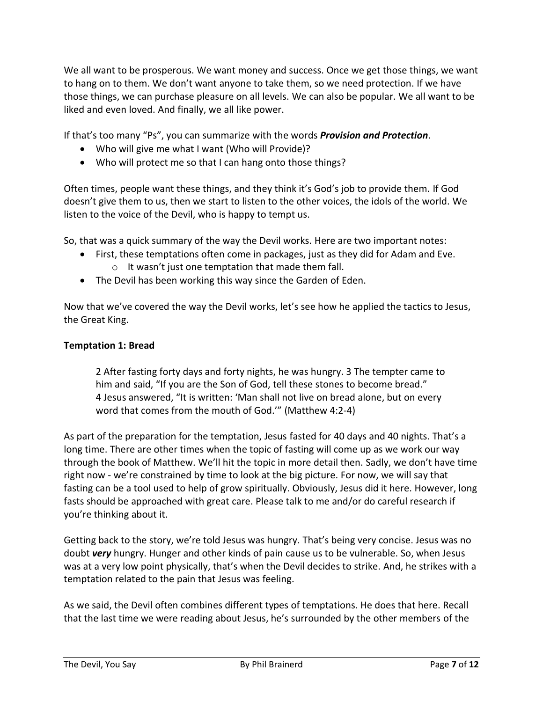We all want to be prosperous. We want money and success. Once we get those things, we want to hang on to them. We don't want anyone to take them, so we need protection. If we have those things, we can purchase pleasure on all levels. We can also be popular. We all want to be liked and even loved. And finally, we all like power.

If that's too many "Ps", you can summarize with the words *Provision and Protection*.

- Who will give me what I want (Who will Provide)?
- Who will protect me so that I can hang onto those things?

Often times, people want these things, and they think it's God's job to provide them. If God doesn't give them to us, then we start to listen to the other voices, the idols of the world. We listen to the voice of the Devil, who is happy to tempt us.

So, that was a quick summary of the way the Devil works. Here are two important notes:

- First, these temptations often come in packages, just as they did for Adam and Eve.
	- o It wasn't just one temptation that made them fall.
- The Devil has been working this way since the Garden of Eden.

Now that we've covered the way the Devil works, let's see how he applied the tactics to Jesus, the Great King.

### **Temptation 1: Bread**

2 After fasting forty days and forty nights, he was hungry. 3 The tempter came to him and said, "If you are the Son of God, tell these stones to become bread." 4 Jesus answered, "It is written: 'Man shall not live on bread alone, but on every word that comes from the mouth of God.'" (Matthew 4:2-4)

As part of the preparation for the temptation, Jesus fasted for 40 days and 40 nights. That's a long time. There are other times when the topic of fasting will come up as we work our way through the book of Matthew. We'll hit the topic in more detail then. Sadly, we don't have time right now - we're constrained by time to look at the big picture. For now, we will say that fasting can be a tool used to help of grow spiritually. Obviously, Jesus did it here. However, long fasts should be approached with great care. Please talk to me and/or do careful research if you're thinking about it.

Getting back to the story, we're told Jesus was hungry. That's being very concise. Jesus was no doubt *very* hungry. Hunger and other kinds of pain cause us to be vulnerable. So, when Jesus was at a very low point physically, that's when the Devil decides to strike. And, he strikes with a temptation related to the pain that Jesus was feeling.

As we said, the Devil often combines different types of temptations. He does that here. Recall that the last time we were reading about Jesus, he's surrounded by the other members of the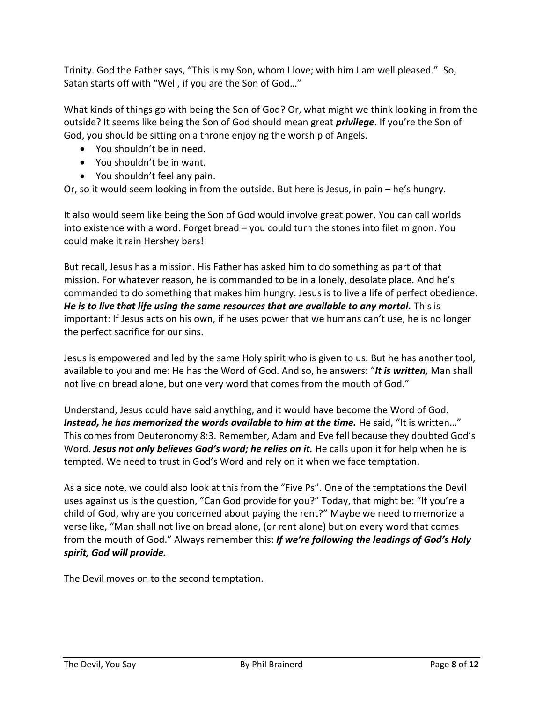Trinity. God the Father says, "This is my Son, whom I love; with him I am well pleased." So, Satan starts off with "Well, if you are the Son of God…"

What kinds of things go with being the Son of God? Or, what might we think looking in from the outside? It seems like being the Son of God should mean great *privilege*. If you're the Son of God, you should be sitting on a throne enjoying the worship of Angels.

- You shouldn't be in need.
- You shouldn't be in want.
- You shouldn't feel any pain.

Or, so it would seem looking in from the outside. But here is Jesus, in pain – he's hungry.

It also would seem like being the Son of God would involve great power. You can call worlds into existence with a word. Forget bread – you could turn the stones into filet mignon. You could make it rain Hershey bars!

But recall, Jesus has a mission. His Father has asked him to do something as part of that mission. For whatever reason, he is commanded to be in a lonely, desolate place. And he's commanded to do something that makes him hungry. Jesus is to live a life of perfect obedience. *He is to live that life using the same resources that are available to any mortal.* This is important: If Jesus acts on his own, if he uses power that we humans can't use, he is no longer the perfect sacrifice for our sins.

Jesus is empowered and led by the same Holy spirit who is given to us. But he has another tool, available to you and me: He has the Word of God. And so, he answers: "*It is written,* Man shall not live on bread alone, but one very word that comes from the mouth of God."

Understand, Jesus could have said anything, and it would have become the Word of God. Instead, he has memorized the words available to him at the time. He said, "It is written..." This comes from Deuteronomy 8:3. Remember, Adam and Eve fell because they doubted God's Word. *Jesus not only believes God's word; he relies on it.* He calls upon it for help when he is tempted. We need to trust in God's Word and rely on it when we face temptation.

As a side note, we could also look at this from the "Five Ps". One of the temptations the Devil uses against us is the question, "Can God provide for you?" Today, that might be: "If you're a child of God, why are you concerned about paying the rent?" Maybe we need to memorize a verse like, "Man shall not live on bread alone, (or rent alone) but on every word that comes from the mouth of God." Always remember this: *If we're following the leadings of God's Holy spirit, God will provide.*

The Devil moves on to the second temptation.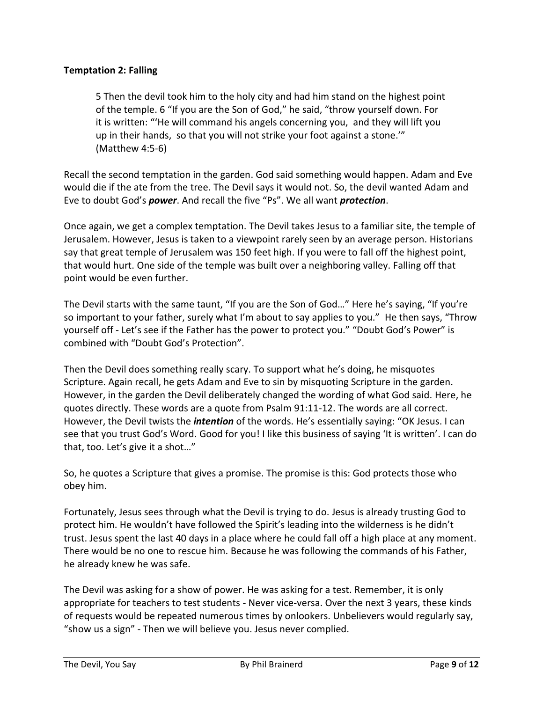## **Temptation 2: Falling**

5 Then the devil took him to the holy city and had him stand on the highest point of the temple. 6 "If you are the Son of God," he said, "throw yourself down. For it is written: "'He will command his angels concerning you, and they will lift you up in their hands, so that you will not strike your foot against a stone.'" (Matthew 4:5-6)

Recall the second temptation in the garden. God said something would happen. Adam and Eve would die if the ate from the tree. The Devil says it would not. So, the devil wanted Adam and Eve to doubt God's *power*. And recall the five "Ps". We all want *protection*.

Once again, we get a complex temptation. The Devil takes Jesus to a familiar site, the temple of Jerusalem. However, Jesus is taken to a viewpoint rarely seen by an average person. Historians say that great temple of Jerusalem was 150 feet high. If you were to fall off the highest point, that would hurt. One side of the temple was built over a neighboring valley. Falling off that point would be even further.

The Devil starts with the same taunt, "If you are the Son of God…" Here he's saying, "If you're so important to your father, surely what I'm about to say applies to you." He then says, "Throw yourself off - Let's see if the Father has the power to protect you." "Doubt God's Power" is combined with "Doubt God's Protection".

Then the Devil does something really scary. To support what he's doing, he misquotes Scripture. Again recall, he gets Adam and Eve to sin by misquoting Scripture in the garden. However, in the garden the Devil deliberately changed the wording of what God said. Here, he quotes directly. These words are a quote from Psalm 91:11-12. The words are all correct. However, the Devil twists the *intention* of the words. He's essentially saying: "OK Jesus. I can see that you trust God's Word. Good for you! I like this business of saying 'It is written'. I can do that, too. Let's give it a shot…"

So, he quotes a Scripture that gives a promise. The promise is this: God protects those who obey him.

Fortunately, Jesus sees through what the Devil is trying to do. Jesus is already trusting God to protect him. He wouldn't have followed the Spirit's leading into the wilderness is he didn't trust. Jesus spent the last 40 days in a place where he could fall off a high place at any moment. There would be no one to rescue him. Because he was following the commands of his Father, he already knew he was safe.

The Devil was asking for a show of power. He was asking for a test. Remember, it is only appropriate for teachers to test students - Never vice-versa. Over the next 3 years, these kinds of requests would be repeated numerous times by onlookers. Unbelievers would regularly say, "show us a sign" - Then we will believe you. Jesus never complied.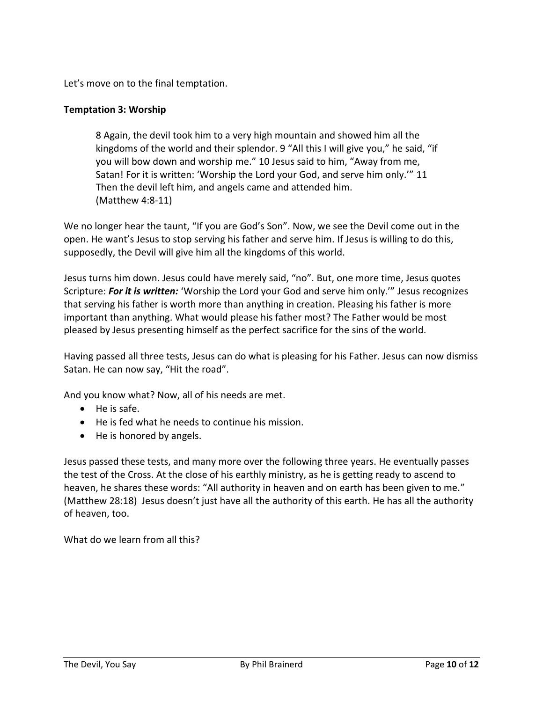Let's move on to the final temptation.

### **Temptation 3: Worship**

8 Again, the devil took him to a very high mountain and showed him all the kingdoms of the world and their splendor. 9 "All this I will give you," he said, "if you will bow down and worship me." 10 Jesus said to him, "Away from me, Satan! For it is written: 'Worship the Lord your God, and serve him only.'" 11 Then the devil left him, and angels came and attended him. (Matthew 4:8-11)

We no longer hear the taunt, "If you are God's Son". Now, we see the Devil come out in the open. He want's Jesus to stop serving his father and serve him. If Jesus is willing to do this, supposedly, the Devil will give him all the kingdoms of this world.

Jesus turns him down. Jesus could have merely said, "no". But, one more time, Jesus quotes Scripture: *For it is written:* 'Worship the Lord your God and serve him only.'" Jesus recognizes that serving his father is worth more than anything in creation. Pleasing his father is more important than anything. What would please his father most? The Father would be most pleased by Jesus presenting himself as the perfect sacrifice for the sins of the world.

Having passed all three tests, Jesus can do what is pleasing for his Father. Jesus can now dismiss Satan. He can now say, "Hit the road".

And you know what? Now, all of his needs are met.

- He is safe.
- He is fed what he needs to continue his mission.
- He is honored by angels.

Jesus passed these tests, and many more over the following three years. He eventually passes the test of the Cross. At the close of his earthly ministry, as he is getting ready to ascend to heaven, he shares these words: "All authority in heaven and on earth has been given to me." (Matthew 28:18) Jesus doesn't just have all the authority of this earth. He has all the authority of heaven, too.

What do we learn from all this?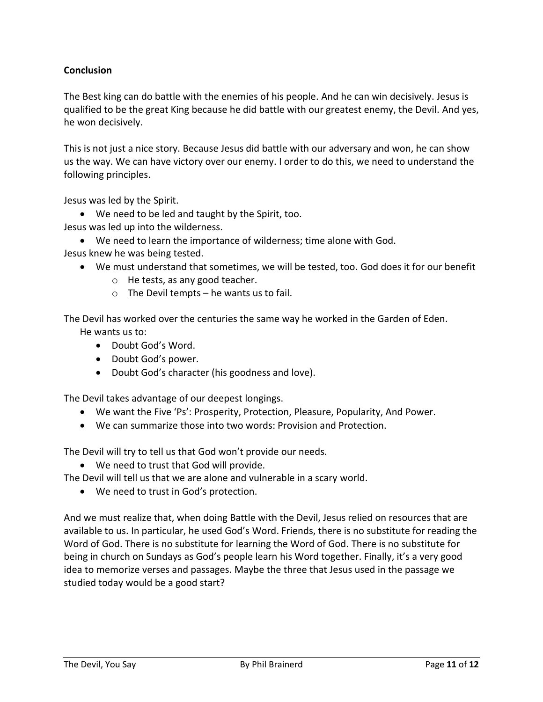# **Conclusion**

The Best king can do battle with the enemies of his people. And he can win decisively. Jesus is qualified to be the great King because he did battle with our greatest enemy, the Devil. And yes, he won decisively.

This is not just a nice story. Because Jesus did battle with our adversary and won, he can show us the way. We can have victory over our enemy. I order to do this, we need to understand the following principles.

Jesus was led by the Spirit.

• We need to be led and taught by the Spirit, too.

Jesus was led up into the wilderness.

- We need to learn the importance of wilderness; time alone with God.
- Jesus knew he was being tested.
	- We must understand that sometimes, we will be tested, too. God does it for our benefit
		- o He tests, as any good teacher.
		- $\circ$  The Devil tempts he wants us to fail.

The Devil has worked over the centuries the same way he worked in the Garden of Eden. He wants us to:

- Doubt God's Word.
- Doubt God's power.
- Doubt God's character (his goodness and love).

The Devil takes advantage of our deepest longings.

- We want the Five 'Ps': Prosperity, Protection, Pleasure, Popularity, And Power.
- We can summarize those into two words: Provision and Protection.

The Devil will try to tell us that God won't provide our needs.

• We need to trust that God will provide.

The Devil will tell us that we are alone and vulnerable in a scary world.

• We need to trust in God's protection.

And we must realize that, when doing Battle with the Devil, Jesus relied on resources that are available to us. In particular, he used God's Word. Friends, there is no substitute for reading the Word of God. There is no substitute for learning the Word of God. There is no substitute for being in church on Sundays as God's people learn his Word together. Finally, it's a very good idea to memorize verses and passages. Maybe the three that Jesus used in the passage we studied today would be a good start?